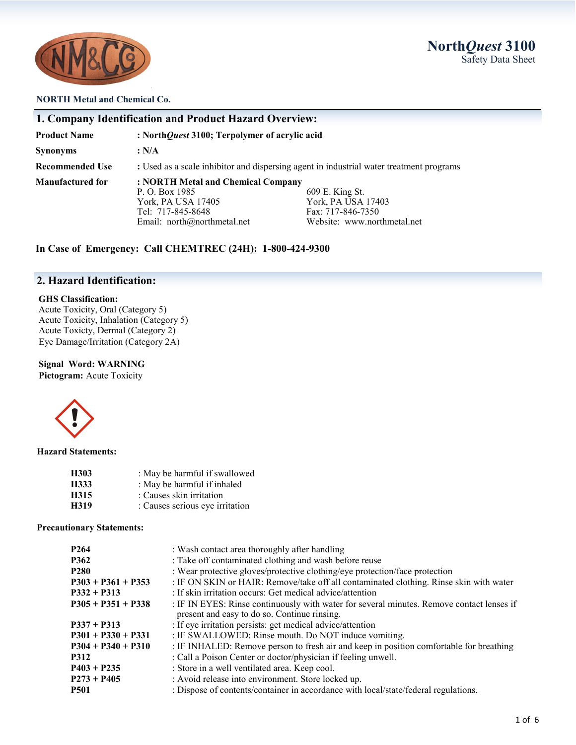

### **NORTH Metal and Chemical Co.**

|                        | 1. Company Identification and Product Hazard Overview:                                                                                                                                                                    |  |  |
|------------------------|---------------------------------------------------------------------------------------------------------------------------------------------------------------------------------------------------------------------------|--|--|
| <b>Product Name</b>    | : NorthQuest 3100; Terpolymer of acrylic acid                                                                                                                                                                             |  |  |
| Synonyms               | : N/A                                                                                                                                                                                                                     |  |  |
| <b>Recommended Use</b> | : Used as a scale inhibitor and dispersing agent in industrial water treatment programs                                                                                                                                   |  |  |
| Manufactured for       | : NORTH Metal and Chemical Company<br>609 E. King St.<br>P. O. Box 1985<br>York, PA USA 17403<br>York, PA USA 17405<br>Tel: 717-845-8648<br>Fax: 717-846-7350<br>Website: www.northmetal.net<br>Email: $north@normal.net$ |  |  |

**In Case of Emergency: Call CHEMTREC (24H): 1-800-424-9300**

# **2. Hazard Identification:**

#### **GHS Classification:**

Acute Toxicity, Oral (Category 5) Acute Toxicity, Inhalation (Category 5) Acute Toxicty, Dermal (Category 2) Eye Damage/Irritation (Category 2A)

# **Signal Word: WARNING**

Pictogram: Acute Toxicity



**Hazard Statements:**

| H303 | : May be harmful if swallowed   |
|------|---------------------------------|
| H333 | : May be harmful if inhaled     |
| H315 | : Causes skin irritation        |
| H319 | : Causes serious eye irritation |

**Precautionary Statements:**

| P264                 | : Wash contact area thoroughly after handling                                                                                             |
|----------------------|-------------------------------------------------------------------------------------------------------------------------------------------|
| P362                 | : Take off contaminated clothing and wash before reuse                                                                                    |
| <b>P280</b>          | : Wear protective gloves/protective clothing/eye protection/face protection                                                               |
| $P303 + P361 + P353$ | : IF ON SKIN or HAIR: Remove/take off all contaminated clothing. Rinse skin with water                                                    |
| $P332 + P313$        | : If skin irritation occurs: Get medical advice/attention                                                                                 |
| $P305 + P351 + P338$ | : IF IN EYES: Rinse continuously with water for several minutes. Remove contact lenses if<br>present and easy to do so. Continue rinsing. |
| $P337 + P313$        | : If eye irritation persists: get medical advice/attention                                                                                |
| $P301 + P330 + P331$ | : IF SWALLOWED: Rinse mouth. Do NOT induce vomiting.                                                                                      |
| $P304 + P340 + P310$ | : IF INHALED: Remove person to fresh air and keep in position comfortable for breathing                                                   |
| P312                 | : Call a Poison Center or doctor/physician if feeling unwell.                                                                             |
| $P403 + P235$        | : Store in a well ventilated area. Keep cool.                                                                                             |
| $P273 + P405$        | : Avoid release into environment. Store locked up.                                                                                        |
| <b>P501</b>          | : Dispose of contents/container in accordance with local/state/federal regulations.                                                       |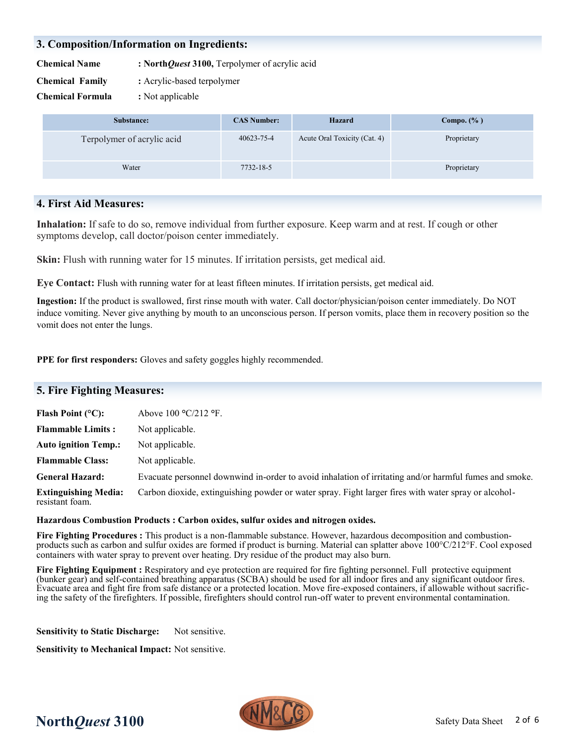# **3. Composition/Information on Ingredients:**

**Chemical Name : North***Quest* **3100,** Terpolymer of acrylic acid

**Chemical Family :** Acrylic-based terpolymer

**Chemical Formula :** Not applicable

| Substance:                 | <b>CAS Number:</b> | Hazard                       | Compo. $(\% )$ |
|----------------------------|--------------------|------------------------------|----------------|
| Terpolymer of acrylic acid | 40623-75-4         | Acute Oral Toxicity (Cat. 4) | Proprietary    |
| Water                      | 7732-18-5          |                              | Proprietary    |

# **4. First Aid Measures:**

**Inhalation:** If safe to do so, remove individual from further exposure. Keep warm and at rest. If cough or other symptoms develop, call doctor/poison center immediately.

**Skin:** Flush with running water for 15 minutes. If irritation persists, get medical aid.

**Eye Contact:** Flush with running water for at least fifteen minutes. If irritation persists, get medical aid.

**Ingestion:** If the product is swallowed, first rinse mouth with water. Call doctor/physician/poison center immediately. Do NOT induce vomiting. Never give anything by mouth to an unconscious person. If person vomits, place them in recovery position so the vomit does not enter the lungs.

**PPE for first responders:** Gloves and safety goggles highly recommended.

| <b>5. Fire Fighting Measures:</b>              |                                                                                                        |  |
|------------------------------------------------|--------------------------------------------------------------------------------------------------------|--|
| Flash Point $(°C)$ :                           | Above $100 \text{ °C}/212 \text{ °F}$ .                                                                |  |
| <b>Flammable Limits:</b>                       | Not applicable.                                                                                        |  |
| <b>Auto ignition Temp.:</b>                    | Not applicable.                                                                                        |  |
| <b>Flammable Class:</b>                        | Not applicable.                                                                                        |  |
| <b>General Hazard:</b>                         | Evacuate personnel downwind in-order to avoid inhalation of irritating and/or harmful fumes and smoke. |  |
| <b>Extinguishing Media:</b><br>resistant foam. | Carbon dioxide, extinguishing powder or water spray. Fight larger fires with water spray or alcohol-   |  |

## **Hazardous Combustion Products : Carbon oxides, sulfur oxides and nitrogen oxides.**

**Fire Fighting Procedures :** This product is a non-flammable substance. However, hazardous decomposition and combustionproducts such as carbon and sulfur oxides are formed if product is burning. Material can splatter above 100°C/212°F. Cool exposed containers with water spray to prevent over heating. Dry residue of the product may also burn.

Fire Fighting Equipment : Respiratory and eye protection are required for fire fighting personnel. Full protective equipment (bunker gear) and self-contained breathing apparatus (SCBA) should be used for all indoor fires and any significant outdoor fires. Evacuate area and fight fire from safe distance or a protected location. Move fire-exposed containers, if allowable without sacrificing the safety of the firefighters. If possible, firefighters should control run-off water to prevent environmental contamination.

**Sensitivity to Static Discharge:** Not sensitive.

**Sensitivity to Mechanical Impact:** Not sensitive.

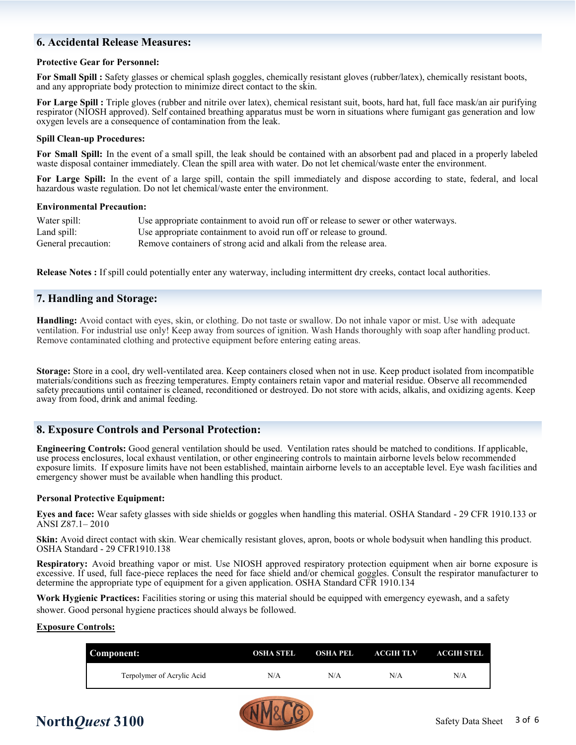# **6. Accidental Release Measures:**

#### **Protective Gear for Personnel:**

**For Small Spill :** Safety glasses or chemical splash goggles, chemically resistant gloves (rubber/latex), chemically resistant boots, and any appropriate body protection to minimize direct contact to the skin.

For Large Spill : Triple gloves (rubber and nitrile over latex), chemical resistant suit, boots, hard hat, full face mask/an air purifying respirator (NIOSH approved). Self contained breathing apparatus must be worn in situations where fumigant gas generation and low oxygen levels are a consequence of contamination from the leak.

#### **Spill Clean-up Procedures:**

**For Small Spill:** In the event of a small spill, the leak should be contained with an absorbent pad and placed in a properly labeled waste disposal container immediately. Clean the spill area with water. Do not let chemical/waste enter the environment.

**For Large Spill:** In the event of a large spill, contain the spill immediately and dispose according to state, federal, and local hazardous waste regulation. Do not let chemical/waste enter the environment.

#### **Environmental Precaution:**

| Water spill:        | Use appropriate containment to avoid run off or release to sewer or other waterways. |
|---------------------|--------------------------------------------------------------------------------------|
| Land spill:         | Use appropriate containment to avoid run off or release to ground.                   |
| General precaution: | Remove containers of strong acid and alkali from the release area.                   |

**Release Notes :** If spill could potentially enter any waterway, including intermittent dry creeks, contact local authorities.

## **7. Handling and Storage:**

**Handling:** Avoid contact with eyes, skin, or clothing. Do not taste or swallow. Do not inhale vapor or mist. Use with adequate ventilation. For industrial use only! Keep away from sources of ignition. Wash Hands thoroughly with soap after handling product. Remove contaminated clothing and protective equipment before entering eating areas.

**Storage:** Store in a cool, dry well-ventilated area. Keep containers closed when not in use. Keep product isolated from incompatible materials/conditions such as freezing temperatures. Empty containers retain vapor and material residue. Observe all recommended safety precautions until container is cleaned, reconditioned or destroyed. Do not store with acids, alkalis, and oxidizing agents. Keep away from food, drink and animal feeding.

## **8. Exposure Controls and Personal Protection:**

**Engineering Controls:** Good general ventilation should be used. Ventilation rates should be matched to conditions. If applicable, use process enclosures, local exhaust ventilation, or other engineering controls to maintain airborne levels below recommended exposure limits. If exposure limits have not been established, maintain airborne levels to an acceptable level. Eye wash facilities and emergency shower must be available when handling this product.

#### **Personal Protective Equipment:**

**Eyes and face:** Wear safety glasses with side shields or goggles when handling this material. OSHA Standard - 29 CFR 1910.133 or ANSI Z87.1– 2010

**Skin:** Avoid direct contact with skin. Wear chemically resistant gloves, apron, boots or whole bodysuit when handling this product. OSHA Standard - 29 CFR1910.138

**Respiratory:** Avoid breathing vapor or mist. Use NIOSH approved respiratory protection equipment when air borne exposure is excessive. If used, full face-piece replaces the need for face shield and/or chemical goggles. Consult the respirator manufacturer to determine the appropriate type of equipment for a given application. OSHA Standard CFR 1910.134

**Work Hygienic Practices:** Facilities storing or using this material should be equipped with emergency eyewash, and a safety shower. Good personal hygiene practices should always be followed.

#### **Exposure Controls:**

| Component:                 | OSHA STEL | OSHA PEL | ACGIH TLV | <b>ACGIH STEL</b> |
|----------------------------|-----------|----------|-----------|-------------------|
| Terpolymer of Acrylic Acid | N/A       | N/A      | N/A       | N/A               |

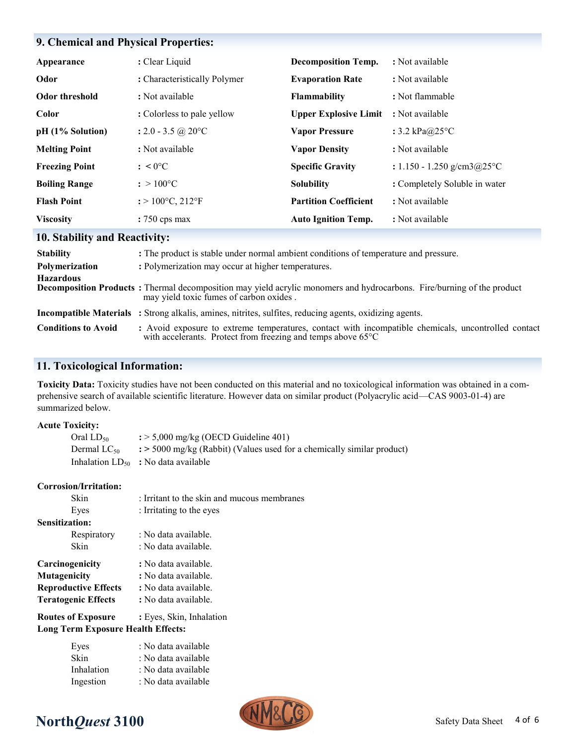# **9. Chemical and Physical Properties:**

| Appearance            | : Clear Liquid                           | <b>Decomposition Temp.</b>   | : Not available               |
|-----------------------|------------------------------------------|------------------------------|-------------------------------|
| Odor                  | : Characteristically Polymer             | <b>Evaporation Rate</b>      | : Not available               |
| <b>Odor threshold</b> | : Not available                          | Flammability                 | : Not flammable               |
| Color                 | : Colorless to pale yellow               | <b>Upper Explosive Limit</b> | : Not available               |
| pH (1% Solution)      | : 2.0 - 3.5 @ 20 $^{\circ}$ C            | <b>Vapor Pressure</b>        | : $3.2$ kPa $@25$ °C          |
| <b>Melting Point</b>  | : Not available                          | <b>Vapor Density</b>         | : Not available               |
| <b>Freezing Point</b> | $: < 0$ <sup>o</sup> C                   | <b>Specific Gravity</b>      | : $1.150 - 1.250$ g/cm3@25°C  |
| <b>Boiling Range</b>  | $: > 100^{\circ}C$                       | <b>Solubility</b>            | : Completely Soluble in water |
| <b>Flash Point</b>    | $:$ > 100 $^{\circ}$ C, 212 $^{\circ}$ F | <b>Partition Coefficient</b> | : Not available               |
| <b>Viscosity</b>      | $: 750 \text{ cps max}$                  | <b>Auto Ignition Temp.</b>   | : Not available               |

# **10. Stability and Reactivity:**

| <b>Stability</b>           | : The product is stable under normal ambient conditions of temperature and pressure.                                                                                |
|----------------------------|---------------------------------------------------------------------------------------------------------------------------------------------------------------------|
| Polymerization             | : Polymerization may occur at higher temperatures.                                                                                                                  |
| <b>Hazardous</b>           | Decomposition Products: Thermal decomposition may yield acrylic monomers and hydrocarbons. Fire/burning of the product<br>may yield toxic fumes of carbon oxides.   |
|                            | <b>Incompatible Materials</b> : Strong alkalis, amines, nitrites, sulfites, reducing agents, oxidizing agents.                                                      |
| <b>Conditions to Avoid</b> | : Avoid exposure to extreme temperatures, contact with incompatible chemicals, uncontrolled contact<br>with accelerants. Protect from freezing and temps above 65°C |

# **11. Toxicological Information:**

**Toxicity Data:** Toxicity studies have not been conducted on this material and no toxicological information was obtained in a comprehensive search of available scientific literature. However data on similar product (Polyacrylic acid—CAS 9003-01-4) are summarized below.

| <b>Acute Toxicity:</b> |                |                                                                                                |
|------------------------|----------------|------------------------------------------------------------------------------------------------|
|                        | Oral $LD_{50}$ | $\div$ 5,000 mg/kg (OECD Guideline 401)                                                        |
|                        |                | Dermal LC <sub>50</sub> : > 5000 mg/kg (Rabbit) (Values used for a chemically similar product) |
|                        |                | Inhalation $LD_{50}$ : No data available                                                       |
| Corrosion/Irritation:  |                |                                                                                                |
| Skin                   |                | : Irritant to the skin and mucous membranes                                                    |
| Eyes                   |                | : Irritating to the eyes                                                                       |
| <b>Sensitization:</b>  |                |                                                                                                |
|                        | Respiratory    | : No data available.                                                                           |
| <b>Skin</b>            |                | : No data available.                                                                           |
|                        |                |                                                                                                |

| : No data available. |
|----------------------|
| : No data available. |
| : No data available. |
| : No data available. |
|                      |

**Routes of Exposure** : Eyes, Skin, Inhalation **Long Term Exposure Health Effects:**

| Eyes       | : No data available |
|------------|---------------------|
| Skin       | : No data available |
| Inhalation | : No data available |
| Ingestion  | : No data available |



# **North***Quest* **3100** Safety Data Sheet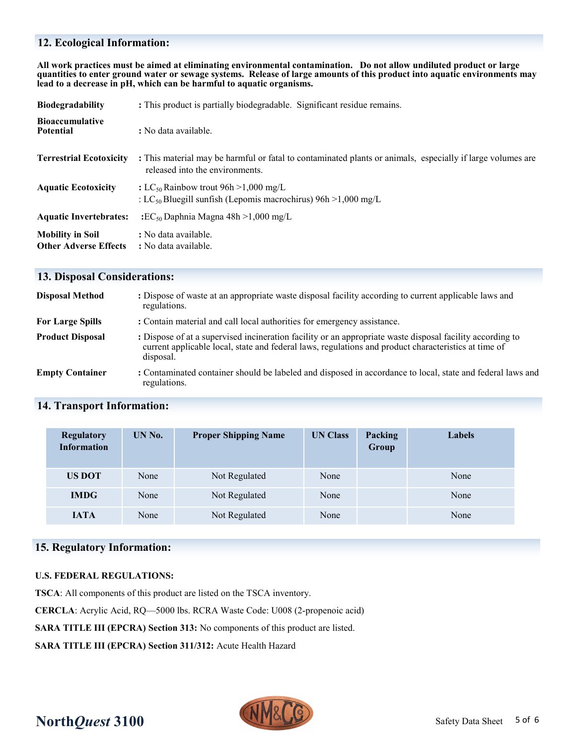# **12. Ecological Information:**

**All work practices must be aimed at eliminating environmental contamination. Do not allow undiluted product or large quantities to enter ground water or sewage systems. Release of large amounts of this product into aquatic environments may lead to a decrease in pH, which can be harmful to aquatic organisms.**

| <b>Biodegradability</b>                                 | : This product is partially biodegradable. Significant residue remains.                                                                       |  |  |
|---------------------------------------------------------|-----------------------------------------------------------------------------------------------------------------------------------------------|--|--|
| <b>Bioaccumulative</b><br><b>Potential</b>              | : No data available.                                                                                                                          |  |  |
| <b>Terrestrial Ecotoxicity</b>                          | : This material may be harmful or fatal to contaminated plants or animals, especially if large volumes are<br>released into the environments. |  |  |
| <b>Aquatic Ecotoxicity</b>                              | : LC <sub>50</sub> Rainbow trout 96h > 1,000 mg/L<br>: LC <sub>50</sub> Bluegill sunfish (Lepomis macrochirus) $96h > 1,000$ mg/L             |  |  |
| <b>Aquatic Invertebrates:</b>                           | $\cdot$ EC <sub>50</sub> Daphnia Magna 48h > 1,000 mg/L                                                                                       |  |  |
| <b>Mobility in Soil</b><br><b>Other Adverse Effects</b> | : No data available.<br>: No data available.                                                                                                  |  |  |

## **13. Disposal Considerations:**

| <b>Disposal Method</b>  | : Dispose of waste at an appropriate waste disposal facility according to current applicable laws and<br>regulations.                                                                                                          |
|-------------------------|--------------------------------------------------------------------------------------------------------------------------------------------------------------------------------------------------------------------------------|
| <b>For Large Spills</b> | : Contain material and call local authorities for emergency assistance.                                                                                                                                                        |
| <b>Product Disposal</b> | : Dispose of at a supervised incineration facility or an appropriate waste disposal facility according to<br>current applicable local, state and federal laws, regulations and product characteristics at time of<br>disposal. |
| <b>Empty Container</b>  | : Contaminated container should be labeled and disposed in accordance to local, state and federal laws and<br>regulations.                                                                                                     |

# **14. Transport Information:**

| <b>Regulatory</b><br><b>Information</b> | UN No. | <b>Proper Shipping Name</b> | <b>UN Class</b> | Packing<br>Group | <b>Labels</b> |
|-----------------------------------------|--------|-----------------------------|-----------------|------------------|---------------|
| <b>US DOT</b>                           | None   | Not Regulated               | None            |                  | None          |
| <b>IMDG</b>                             | None   | Not Regulated               | None            |                  | None          |
| <b>IATA</b>                             | None   | Not Regulated               | None            |                  | None          |

# **15. Regulatory Information:**

#### **U.S. FEDERAL REGULATIONS:**

**TSCA**: All components of this product are listed on the TSCA inventory.

**CERCLA**: Acrylic Acid, RQ—5000 lbs. RCRA Waste Code: U008 (2-propenoic acid)

**SARA TITLE III (EPCRA) Section 313:** No components of this product are listed.

**SARA TITLE III (EPCRA) Section 311/312:** Acute Health Hazard